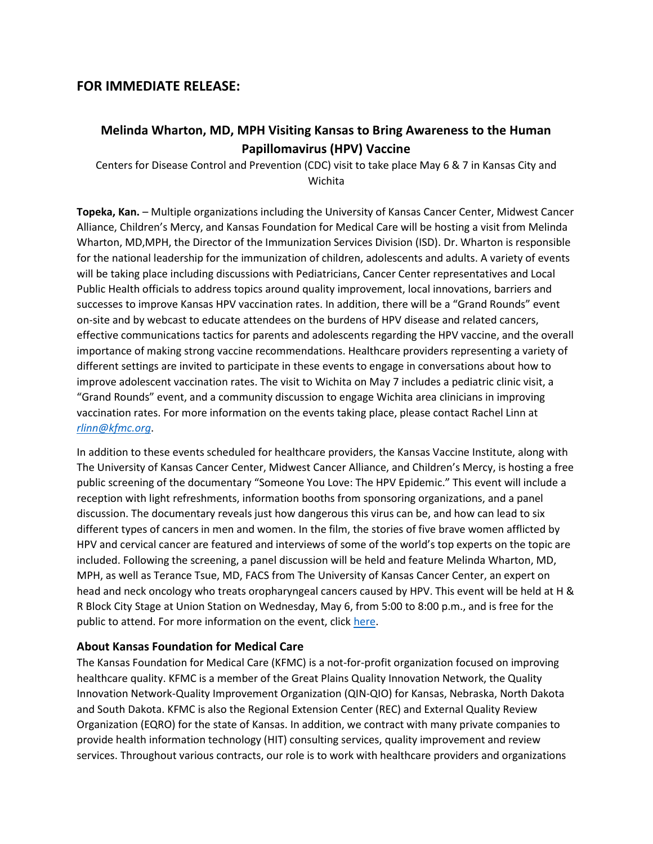## **FOR IMMEDIATE RELEASE:**

# **Melinda Wharton, MD, MPH Visiting Kansas to Bring Awareness to the Human Papillomavirus (HPV) Vaccine**

Centers for Disease Control and Prevention (CDC) visit to take place May 6 & 7 in Kansas City and Wichita

**Topeka, Kan.** – Multiple organizations including the University of Kansas Cancer Center, Midwest Cancer Alliance, Children's Mercy, and Kansas Foundation for Medical Care will be hosting a visit from Melinda Wharton, MD,MPH, the Director of the Immunization Services Division (ISD). Dr. Wharton is responsible for the national leadership for the immunization of children, adolescents and adults. A variety of events will be taking place including discussions with Pediatricians, Cancer Center representatives and Local Public Health officials to address topics around quality improvement, local innovations, barriers and successes to improve Kansas HPV vaccination rates. In addition, there will be a "Grand Rounds" event on-site and by webcast to educate attendees on the burdens of HPV disease and related cancers, effective communications tactics for parents and adolescents regarding the HPV vaccine, and the overall importance of making strong vaccine recommendations. Healthcare providers representing a variety of different settings are invited to participate in these events to engage in conversations about how to improve adolescent vaccination rates. The visit to Wichita on May 7 includes a pediatric clinic visit, a "Grand Rounds" event, and a community discussion to engage Wichita area clinicians in improving vaccination rates. For more information on the events taking place, please contact Rachel Linn at *[rlinn@kfmc.org](mailto:rlinn@kfmc.org)*.

In addition to these events scheduled for healthcare providers, the Kansas Vaccine Institute, along with The University of Kansas Cancer Center, Midwest Cancer Alliance, and Children's Mercy, is hosting a free public screening of the documentary "Someone You Love: The HPV Epidemic." This event will include a reception with light refreshments, information booths from sponsoring organizations, and a panel discussion. The documentary reveals just how dangerous this virus can be, and how can lead to six different types of cancers in men and women. In the film, the stories of five brave women afflicted by HPV and cervical cancer are featured and interviews of some of the world's top experts on the topic are included. Following the screening, a panel discussion will be held and feature Melinda Wharton, MD, MPH, as well as Terance Tsue, MD, FACS from The University of Kansas Cancer Center, an expert on head and neck oncology who treats oropharyngeal cancers caused by HPV. This event will be held at H & R Block City Stage at Union Station on Wednesday, May 6, from 5:00 to 8:00 p.m., and is free for the public to attend. For more information on the event, clic[k here.](http://www.kucancercenter.org/cancer-information/specialties-and-treatment/head-and-neck-cancer/head-neck-awareness)

### **About Kansas Foundation for Medical Care**

The Kansas Foundation for Medical Care (KFMC) is a not-for-profit organization focused on improving healthcare quality. KFMC is a member of the Great Plains Quality Innovation Network, the Quality Innovation Network-Quality Improvement Organization (QIN-QIO) for Kansas, Nebraska, North Dakota and South Dakota. KFMC is also the Regional Extension Center (REC) and External Quality Review Organization (EQRO) for the state of Kansas. In addition, we contract with many private companies to provide health information technology (HIT) consulting services, quality improvement and review services. Throughout various contracts, our role is to work with healthcare providers and organizations